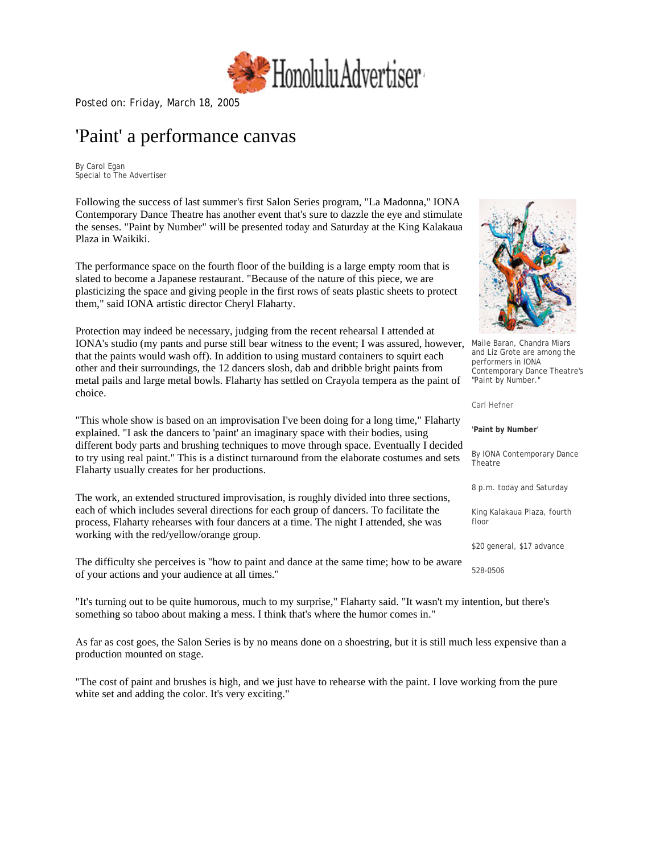

Posted on: Friday, March 18, [20](http://www.honoluluadvertiser.com/)05

## 'Paint' a performance canvas

By Carol Egan Special to The Advertiser

Following the success of last summer's first Salon Series program, "La Madonna," IONA Contemporary Dance Theatre has another event that's sure to dazzle the eye and stimulate the senses. "Paint by Number" will be presented today and Saturday at the King Kalakaua Plaza in Waikiki.

The performance space on the fourth floor of the building is a large empty room that is slated to become a Japanese restaurant. "Because of the nature of this piece, we are plasticizing the space and giving people in the first rows of seats plastic sheets to protect them," said IONA artistic director Cheryl Flaharty.

Protection may indeed be necessary, judging from the recent rehearsal I attended at IONA's studio (my pants and purse still bear witness to the event; I was assured, however, that the paints would wash off). In addition to using mustard containers to squirt each other and their surroundings, the 12 dancers slosh, dab and dribble bright paints from metal pails and large metal bowls. Flaharty has settled on Crayola tempera as the paint of choice.

"This whole show is based on an improvisation I've been doing for a long time," Flaharty explained. "I ask the dancers to 'paint' an imaginary space with their bodies, using different body parts and brushing techniques to move through space. Eventually I decided to try using real paint." This is a distinct turnaround from the elaborate costumes and sets Flaharty usually creates for her productions.

The work, an extended structured improvisation, is roughly divided into three sections, each of which includes several directions for each group of dancers. To facilitate the process, Flaharty rehearses with four dancers at a time. The night I attended, she was working with the red/yellow/orange group.

The difficulty she perceives is "how to paint and dance at the same time; how to be aware of your actions and your audience at all times."

"It's turning out to be quite humorous, much to my surprise," Flaharty said. "It wasn't my intention, but there's something so taboo about making a mess. I think that's where the humor comes in."

As far as cost goes, the Salon Series is by no means done on a shoestring, but it is still much less expensive than a production mounted on stage.

"The cost of paint and brushes is high, and we just have to rehearse with the paint. I love working from the pure white set and adding the color. It's very exciting."



Maile Baran, Chandra Miars and Liz Grote are among the performers in IONA Contemporary Dance Theatre's "Paint by Number."

#### Carl Hefner

**'Paint by Number'**

By IONA Contemporary Dance Theatre

8 p.m. today and Saturday

King Kalakaua Plaza, fourth floor

\$20 general, \$17 advance

528-0506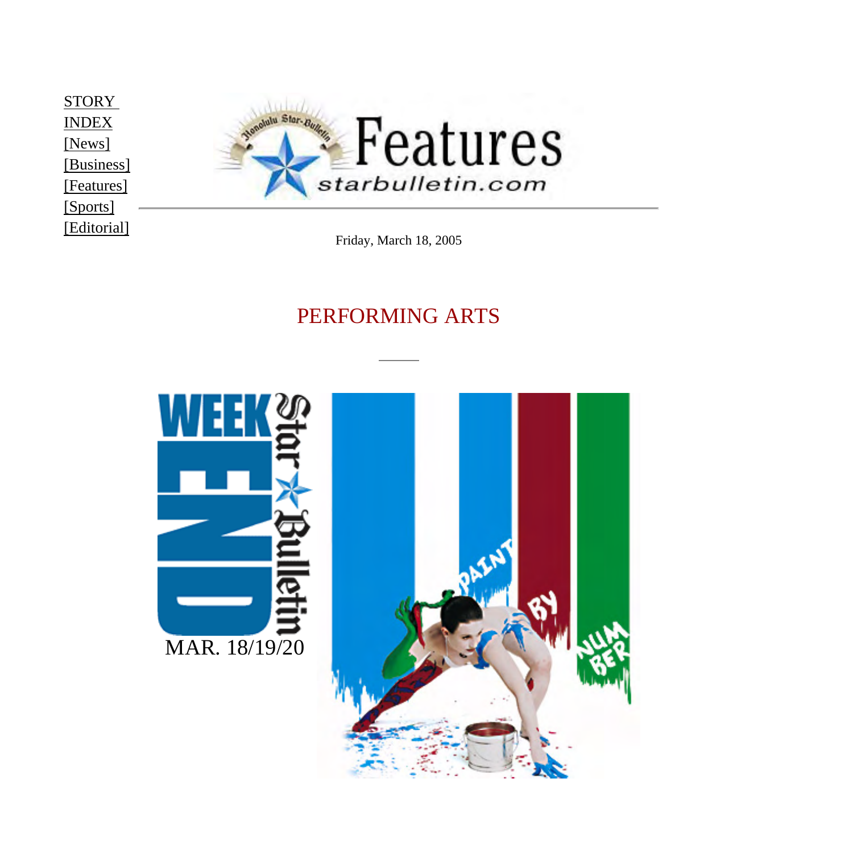<span id="page-1-0"></span>**[STORY](http://starbulletin.com/2005/03/18/features/indext.html)** [INDEX](http://starbulletin.com/2005/03/18/features/indext.html)  [\[News\]](http://starbulletin.com/2005/03/18/news/indext.html) [\[Business\]](http://starbulletin.com/2005/03/18/business/indext.html)  [\[Features\]](http://starbulletin.com/2005/03/18/features/indext.html) [\[Sports\]](http://starbulletin.com/2005/03/18/sports/indext.html)  [\[Editorial\]](http://starbulletin.com/2005/03/18/editorial/indext.html)



Friday, March 18, 2005

## PERFORMING ARTS

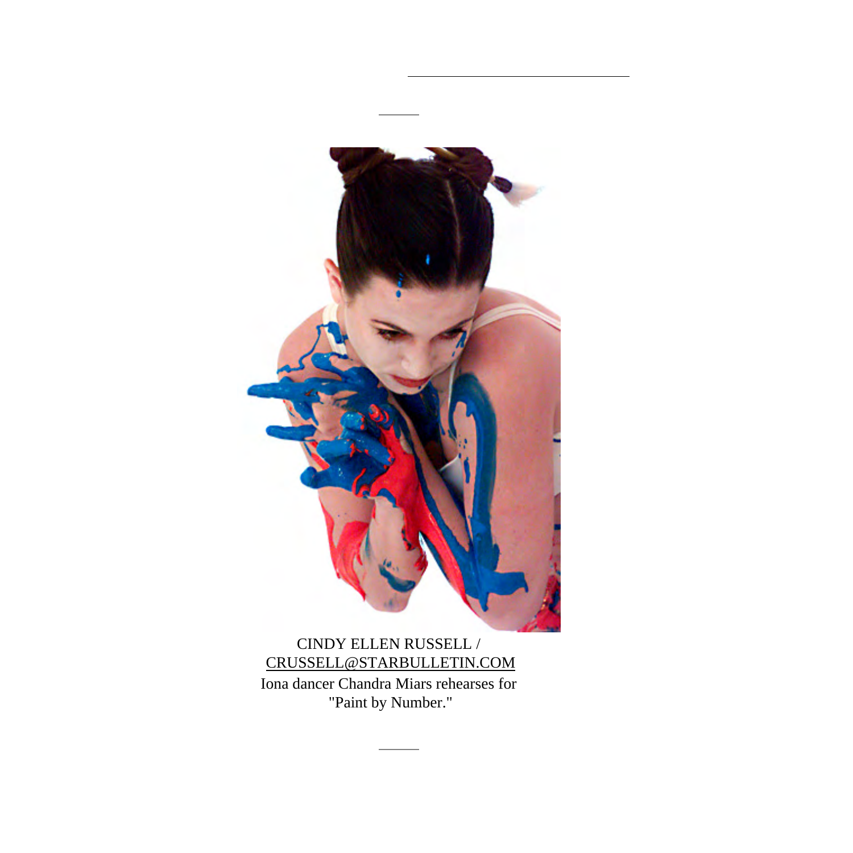

[CRUSSELL@STARBULLETIN.COM](mailto:CRUSSELL@STARBULLETIN.COM?subject=http://starbulletin.com/2005/03/18/) Iona dancer Chandra Miars rehearses for "Paint by Number."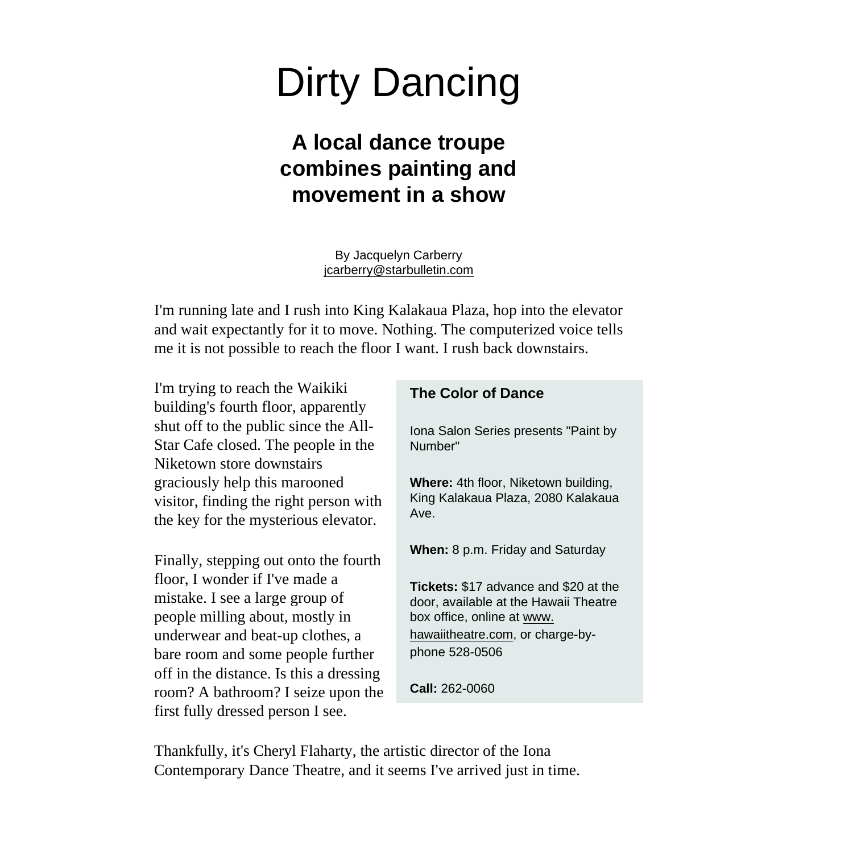# Dirty Dancing

## **A local dance troupe combines painting and movement in a show**

By Jacquelyn Carberry [jcarberry@starbulletin.com](mailto:jcarberry@starbulletin.com?subject=http://starbulletin.com/2005/03/18/)

I'm running late and I rush into King Kalakaua Plaza, hop into the elevator and wait expectantly for it to move. Nothing. The computerized voice tells me it is not possible to reach the floor I want. I rush back downstairs.

I'm trying to reach the Waikiki building's fourth floor, apparently shut off to the public since the All-Star Cafe closed. The people in the Niketown store downstairs graciously help this marooned visitor, finding the right person with the key for the mysterious elevator.

Finally, stepping out onto the fourth floor, I wonder if I've made a mistake. I see a large group of people milling about, mostly in underwear and beat-up clothes, a bare room and some people further off in the distance. Is this a dressing room? A bathroom? I seize upon the first fully dressed person I see.

### **The Color of Dance**

Iona Salon Series presents "Paint by Number"

**Where:** 4th floor, Niketown building, King Kalakaua Plaza, 2080 Kalakaua Ave.

**When:** 8 p.m. Friday and Saturday

**Tickets:** \$17 advance and \$20 at the door, available at the Hawaii Theatre box office, online at [www.](http://www.hawaiitheatre.com/) [hawaiitheatre.com](http://www.hawaiitheatre.com/), or charge-byphone 528-0506

**Call:** 262-0060

Thankfully, it's Cheryl Flaharty, the artistic director of the Iona Contemporary Dance Theatre, and it seems I've arrived just in time.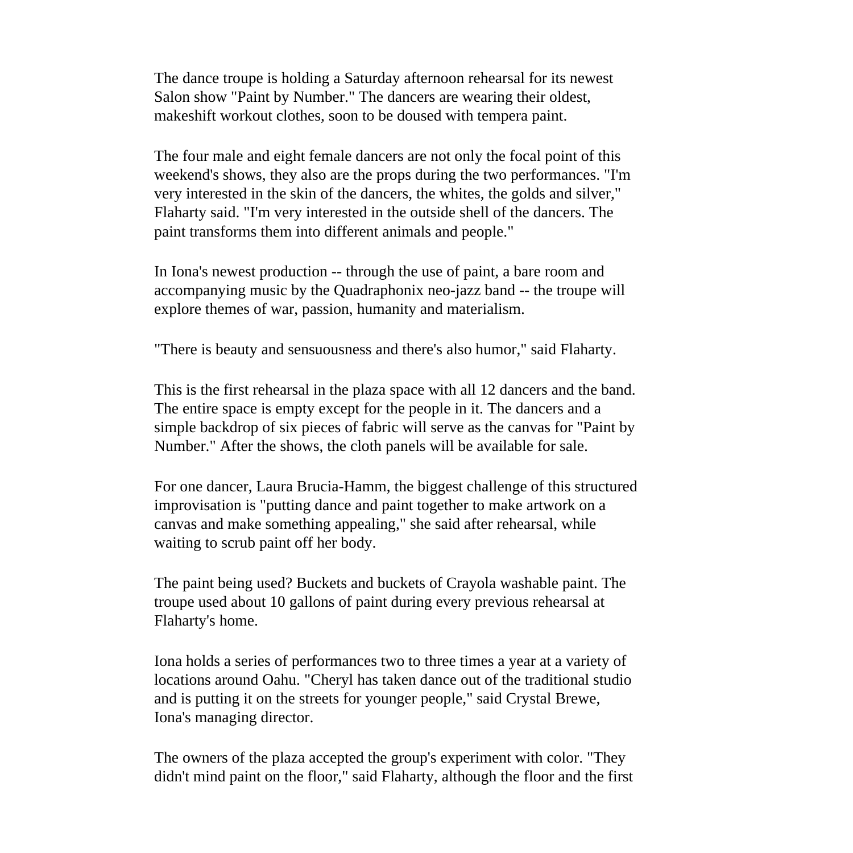The dance troupe is holding a Saturday afternoon rehearsal for its newest Salon show "Paint by Number." The dancers are wearing their oldest, makeshift workout clothes, soon to be doused with tempera paint.

The four male and eight female dancers are not only the focal point of this weekend's shows, they also are the props during the two performances. "I'm very interested in the skin of the dancers, the whites, the golds and silver," Flaharty said. "I'm very interested in the outside shell of the dancers. The paint transforms them into different animals and people."

In Iona's newest production -- through the use of paint, a bare room and accompanying music by the Quadraphonix neo-jazz band -- the troupe will explore themes of war, passion, humanity and materialism.

"There is beauty and sensuousness and there's also humor," said Flaharty.

This is the first rehearsal in the plaza space with all 12 dancers and the band. The entire space is empty except for the people in it. The dancers and a simple backdrop of six pieces of fabric will serve as the canvas for "Paint by Number." After the shows, the cloth panels will be available for sale.

For one dancer, Laura Brucia-Hamm, the biggest challenge of this structured improvisation is "putting dance and paint together to make artwork on a canvas and make something appealing," she said after rehearsal, while waiting to scrub paint off her body.

The paint being used? Buckets and buckets of Crayola washable paint. The troupe used about 10 gallons of paint during every previous rehearsal at Flaharty's home.

Iona holds a series of performances two to three times a year at a variety of locations around Oahu. "Cheryl has taken dance out of the traditional studio and is putting it on the streets for younger people," said Crystal Brewe, Iona's managing director.

The owners of the plaza accepted the group's experiment with color. "They didn't mind paint on the floor," said Flaharty, although the floor and the first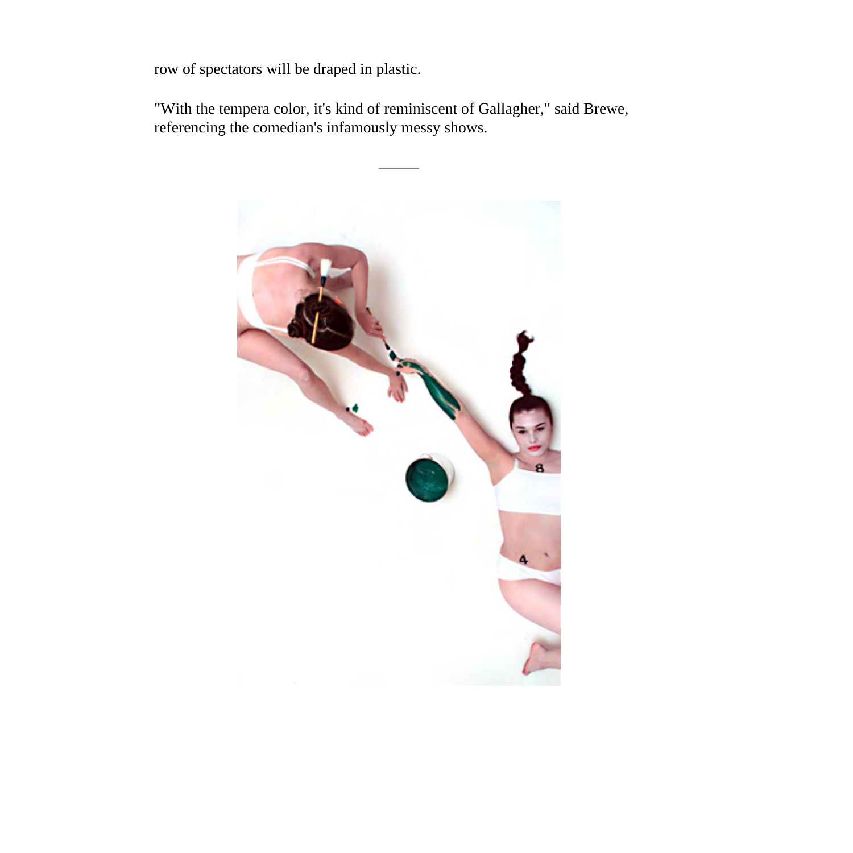row of spectators will be draped in plastic.

"With the tempera color, it's kind of reminiscent of Gallagher," said Brewe, referencing the comedian's infamously messy shows.

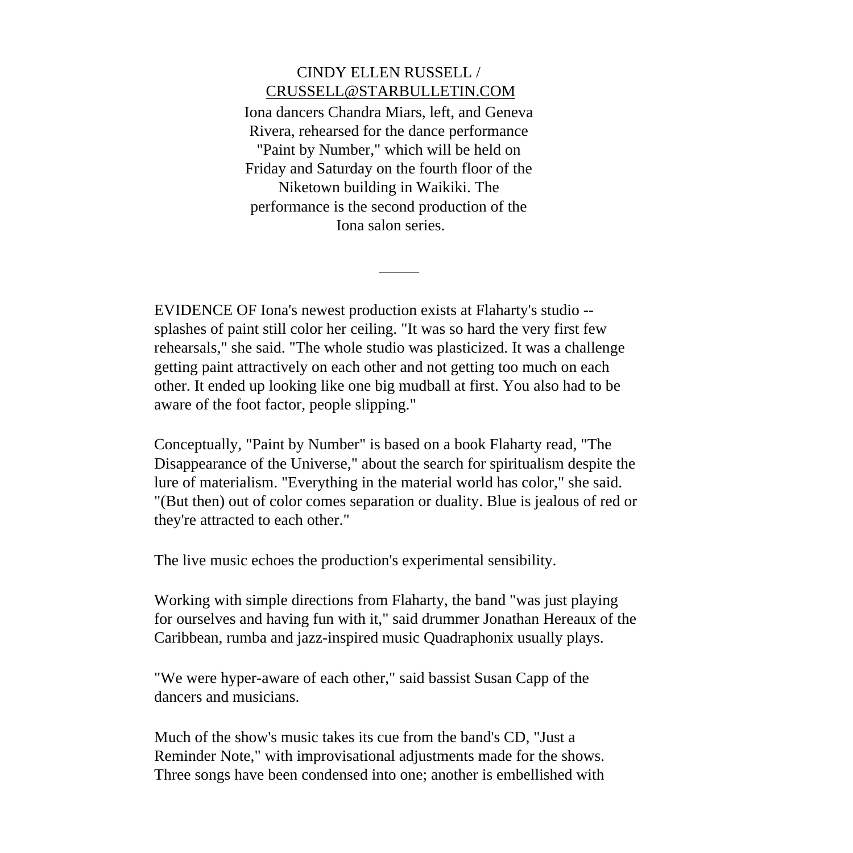## CINDY ELLEN RUSSELL / [CRUSSELL@STARBULLETIN.COM](mailto:CRUSSELL@STARBULLETIN.COM?subject=http://starbulletin.com/2005/03/18/)

Iona dancers Chandra Miars, left, and Geneva Rivera, rehearsed for the dance performance "Paint by Number," which will be held on Friday and Saturday on the fourth floor of the Niketown building in Waikiki. The performance is the second production of the Iona salon series.

EVIDENCE OF Iona's newest production exists at Flaharty's studio - splashes of paint still color her ceiling. "It was so hard the very first few rehearsals," she said. "The whole studio was plasticized. It was a challenge getting paint attractively on each other and not getting too much on each other. It ended up looking like one big mudball at first. You also had to be aware of the foot factor, people slipping."

Conceptually, "Paint by Number" is based on a book Flaharty read, "The Disappearance of the Universe," about the search for spiritualism despite the lure of materialism. "Everything in the material world has color," she said. "(But then) out of color comes separation or duality. Blue is jealous of red or they're attracted to each other."

The live music echoes the production's experimental sensibility.

Working with simple directions from Flaharty, the band "was just playing for ourselves and having fun with it," said drummer Jonathan Hereaux of the Caribbean, rumba and jazz-inspired music Quadraphonix usually plays.

"We were hyper-aware of each other," said bassist Susan Capp of the dancers and musicians.

Much of the show's music takes its cue from the band's CD, "Just a Reminder Note," with improvisational adjustments made for the shows. Three songs have been condensed into one; another is embellished with